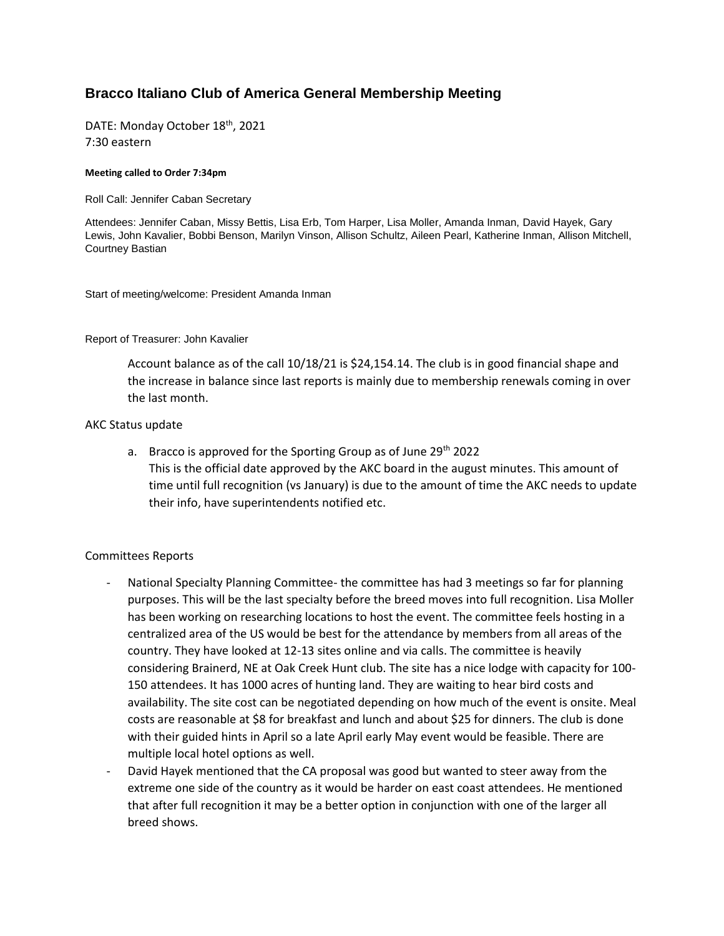## **Bracco Italiano Club of America General Membership Meeting**

DATE: Monday October 18<sup>th</sup>, 2021 7:30 eastern

## **Meeting called to Order 7:34pm**

Roll Call: Jennifer Caban Secretary

Attendees: Jennifer Caban, Missy Bettis, Lisa Erb, Tom Harper, Lisa Moller, Amanda Inman, David Hayek, Gary Lewis, John Kavalier, Bobbi Benson, Marilyn Vinson, Allison Schultz, Aileen Pearl, Katherine Inman, Allison Mitchell, Courtney Bastian

Start of meeting/welcome: President Amanda Inman

Report of Treasurer: John Kavalier

Account balance as of the call 10/18/21 is \$24,154.14. The club is in good financial shape and the increase in balance since last reports is mainly due to membership renewals coming in over the last month.

## AKC Status update

a. Bracco is approved for the Sporting Group as of June  $29<sup>th</sup>$  2022 This is the official date approved by the AKC board in the august minutes. This amount of time until full recognition (vs January) is due to the amount of time the AKC needs to update their info, have superintendents notified etc.

## Committees Reports

- National Specialty Planning Committee- the committee has had 3 meetings so far for planning purposes. This will be the last specialty before the breed moves into full recognition. Lisa Moller has been working on researching locations to host the event. The committee feels hosting in a centralized area of the US would be best for the attendance by members from all areas of the country. They have looked at 12-13 sites online and via calls. The committee is heavily considering Brainerd, NE at Oak Creek Hunt club. The site has a nice lodge with capacity for 100- 150 attendees. It has 1000 acres of hunting land. They are waiting to hear bird costs and availability. The site cost can be negotiated depending on how much of the event is onsite. Meal costs are reasonable at \$8 for breakfast and lunch and about \$25 for dinners. The club is done with their guided hints in April so a late April early May event would be feasible. There are multiple local hotel options as well.
- David Hayek mentioned that the CA proposal was good but wanted to steer away from the extreme one side of the country as it would be harder on east coast attendees. He mentioned that after full recognition it may be a better option in conjunction with one of the larger all breed shows.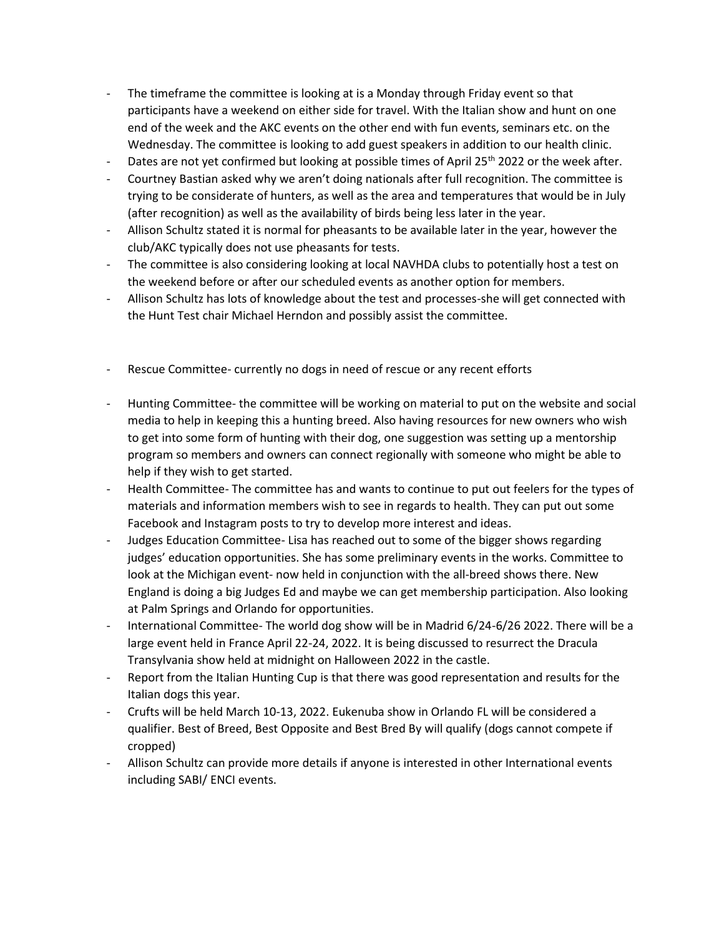- The timeframe the committee is looking at is a Monday through Friday event so that participants have a weekend on either side for travel. With the Italian show and hunt on one end of the week and the AKC events on the other end with fun events, seminars etc. on the Wednesday. The committee is looking to add guest speakers in addition to our health clinic.
- Dates are not yet confirmed but looking at possible times of April 25<sup>th</sup> 2022 or the week after.
- Courtney Bastian asked why we aren't doing nationals after full recognition. The committee is trying to be considerate of hunters, as well as the area and temperatures that would be in July (after recognition) as well as the availability of birds being less later in the year.
- Allison Schultz stated it is normal for pheasants to be available later in the year, however the club/AKC typically does not use pheasants for tests.
- The committee is also considering looking at local NAVHDA clubs to potentially host a test on the weekend before or after our scheduled events as another option for members.
- Allison Schultz has lots of knowledge about the test and processes-she will get connected with the Hunt Test chair Michael Herndon and possibly assist the committee.
- Rescue Committee- currently no dogs in need of rescue or any recent efforts
- Hunting Committee- the committee will be working on material to put on the website and social media to help in keeping this a hunting breed. Also having resources for new owners who wish to get into some form of hunting with their dog, one suggestion was setting up a mentorship program so members and owners can connect regionally with someone who might be able to help if they wish to get started.
- Health Committee- The committee has and wants to continue to put out feelers for the types of materials and information members wish to see in regards to health. They can put out some Facebook and Instagram posts to try to develop more interest and ideas.
- Judges Education Committee- Lisa has reached out to some of the bigger shows regarding judges' education opportunities. She has some preliminary events in the works. Committee to look at the Michigan event- now held in conjunction with the all-breed shows there. New England is doing a big Judges Ed and maybe we can get membership participation. Also looking at Palm Springs and Orlando for opportunities.
- International Committee- The world dog show will be in Madrid 6/24-6/26 2022. There will be a large event held in France April 22-24, 2022. It is being discussed to resurrect the Dracula Transylvania show held at midnight on Halloween 2022 in the castle.
- Report from the Italian Hunting Cup is that there was good representation and results for the Italian dogs this year.
- Crufts will be held March 10-13, 2022. Eukenuba show in Orlando FL will be considered a qualifier. Best of Breed, Best Opposite and Best Bred By will qualify (dogs cannot compete if cropped)
- Allison Schultz can provide more details if anyone is interested in other International events including SABI/ ENCI events.